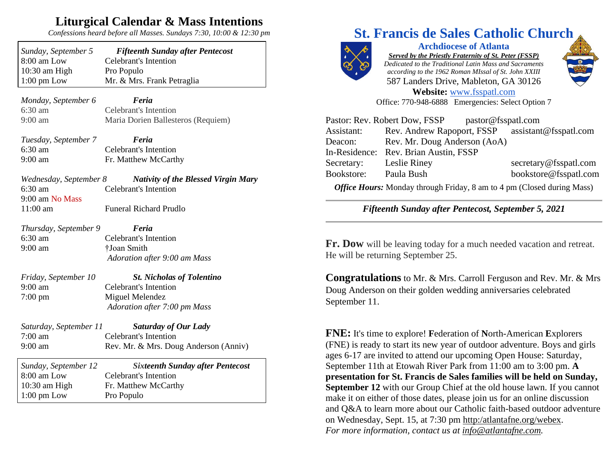## **Liturgical Calendar & Mass Intentions**

*Confessions heard before all Masses. Sundays 7:30, 10:00 & 12:30 pm*

| Sunday, September 5   | <b>Fifteenth Sunday after Pentecost</b> |
|-----------------------|-----------------------------------------|
| 8:00 am Low           | <b>Celebrant's Intention</b>            |
| $10:30$ am High       | Pro Populo                              |
| $1:00 \text{ pm}$ Low | Mr. & Mrs. Frank Petraglia              |
|                       |                                         |

*Monday, September 6 Feria* 6:30 am Celebrant's Intention 9:00 am Maria Dorien Ballesteros (Requiem)

*Tuesday, September 7 Feria* 6:30 am Celebrant's Intention 9:00 am Fr. Matthew McCarthy

*Wednesday, September 8 Nativity of the Blessed Virgin Mary* 6:30 am Celebrant's Intention 9:00 am No Mass 11:00 am Funeral Richard Prudlo

*Thursday, September 9 Feria* 6:30 am Celebrant's Intention 9:00 am †Joan Smith

*Adoration after 9:00 am Mass*

- *Friday, September 10 St. Nicholas of Tolentino* 9:00 am Celebrant's Intention 7:00 pm Miguel Melendez *Adoration after 7:00 pm Mass*
- *Saturday, September 11 Saturday of Our Lady*  7:00 am Celebrant's Intention 9:00 am Rev. Mr. & Mrs. Doug Anderson (Anniv)

| Sunday, September 12  | <b>Sixteenth Sunday after Pentecost</b> |
|-----------------------|-----------------------------------------|
| $8:00$ am Low         | Celebrant's Intention                   |
| $10:30$ am High       | Fr. Matthew McCarthy                    |
| $1:00 \text{ pm}$ Low | Pro Populo                              |

## **St. Francis de Sales Catholic Church**



**Archdiocese of Atlanta** *Served by the Priestly Fraternity of St. Peter (FSSP) Dedicated to the Traditional Latin Mass and Sacraments according to the 1962 Roman MIssal of St. John XXIII* 587 Landers Drive, Mableton, GA 30126 **Website:** [www.fsspatl.com](http://www.fsspatl.com/)

Office: 770-948-6888 Emergencies: Select Option 7



Pastor: Rev. Robert Dow, FSSP pastor@fsspatl.com Assistant: Rev. Andrew Rapoport, FSSP assistant@fsspatl.com

Deacon: Rev. Mr. Doug Anderson (AoA) In-Residence: Rev. Brian Austin, FSSP Secretary: Leslie Riney secretary@fsspatl.com Bookstore: Paula Bush bookstore@fsspatl.com

*Office Hours:* Monday through Friday, 8 am to 4 pm (Closed during Mass)

*Fifteenth Sunday after Pentecost, September 5, 2021*

**Fr. Dow** will be leaving today for a much needed vacation and retreat. He will be returning September 25.

**Congratulations** to Mr. & Mrs. Carroll Ferguson and Rev. Mr. & Mrs Doug Anderson on their golden wedding anniversaries celebrated September 11.

**FNE:** It's time to explore! **F**ederation of **N**orth-American **E**xplorers (FNE) is ready to start its new year of outdoor adventure. Boys and girls ages 6-17 are invited to attend our upcoming Open House: Saturday, September 11th at Etowah River Park from 11:00 am to 3:00 pm. **A presentation for St. Francis de Sales families will be held on Sunday, September 12** with our Group Chief at the old house lawn. If you cannot make it on either of those dates, please join us for an online discussion and Q&A to learn more about our Catholic faith-based outdoor adventure on Wednesday, Sept. 15, at 7:30 pm [http:/atlantafne.org/webex.](http://atlantafne.org/webex) *For more information, contact us at [info@atlantafne.com.](mailto:info@atlantafne.com)*